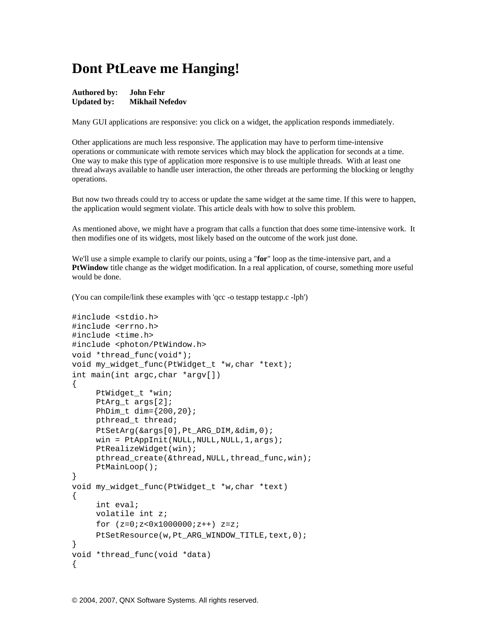## **Dont PtLeave me Hanging!**

| Authored by:       | John Fehr              |
|--------------------|------------------------|
| <b>Updated by:</b> | <b>Mikhail Nefedov</b> |

Many GUI applications are responsive: you click on a widget, the application responds immediately.

Other applications are much less responsive. The application may have to perform time-intensive operations or communicate with remote services which may block the application for seconds at a time. One way to make this type of application more responsive is to use multiple threads. With at least one thread always available to handle user interaction, the other threads are performing the blocking or lengthy operations.

But now two threads could try to access or update the same widget at the same time. If this were to happen, the application would segment violate. This article deals with how to solve this problem.

As mentioned above, we might have a program that calls a function that does some time-intensive work. It then modifies one of its widgets, most likely based on the outcome of the work just done.

We'll use a simple example to clarify our points, using a "**for**" loop as the time-intensive part, and a **PtWindow** title change as the widget modification. In a real application, of course, something more useful would be done.

(You can compile/link these examples with 'qcc -o testapp testapp.c -lph')

```
#include <stdio.h> 
#include <errno.h> 
#include <time.h> 
#include <photon/PtWindow.h> 
void *thread_func(void*); 
void my_widget_func(PtWidget_t *w,char *text); 
int main(int argc,char *argv[]) 
\{PtWidget t *win;
      PtArg_t args[2]; 
     PhDim t dim={200, 20}; pthread_t thread; 
      PtSetArg(&args[0],Pt_ARG_DIM,&dim,0); 
     win = PtAppInit(NULL,NULL,NULL,1,args);
      PtRealizeWidget(win); 
     pthread_create(&thread,NULL,thread_func,win);
      PtMainLoop(); 
} 
void my_widget_func(PtWidget_t *w,char *text) 
{ 
      int eval; 
      volatile int z; 
     for (z=0; z<0x10000000; z++) z=z;PtSetResource(w, Pt_ARG_WINDOW_TITLE, text, 0);
} 
void *thread_func(void *data) 
{
```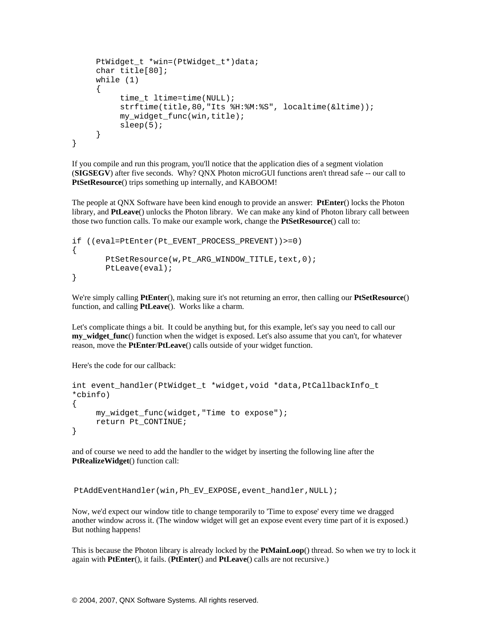```
 PtWidget_t *win=(PtWidget_t*)data; 
      char title[80]; 
      while (1) 
     \{time t ltime=time(NULL);
          strftime(title,80,"Its %H:%M:%S", localtime(&ltime));
           my_widget_func(win,title); 
          sleep(5); } 
}
```
If you compile and run this program, you'll notice that the application dies of a segment violation (**SIGSEGV**) after five seconds. Why? QNX Photon microGUI functions aren't thread safe -- our call to **PtSetResource**() trips something up internally, and KABOOM!

The people at QNX Software have been kind enough to provide an answer: **PtEnter**() locks the Photon library, and **PtLeave**() unlocks the Photon library. We can make any kind of Photon library call between those two function calls. To make our example work, change the **PtSetResource**() call to:

```
if ((eval=PtEnter(Pt_EVENT_PROCESS_PREVENT))>=0) 
{ 
       PtSetResource(w, Pt_ARG_WINDOW_TITLE, text, 0);
        PtLeave(eval); 
}
```
We're simply calling **PtEnter**(), making sure it's not returning an error, then calling our **PtSetResource**() function, and calling **PtLeave**(). Works like a charm.

Let's complicate things a bit. It could be anything but, for this example, let's say you need to call our **my\_widget\_func**() function when the widget is exposed. Let's also assume that you can't, for whatever reason, move the **PtEnter**/**PtLeave**() calls outside of your widget function.

Here's the code for our callback:

```
int event_handler(PtWidget_t *widget,void *data,PtCallbackInfo_t 
*cbinfo) 
{ 
      my_widget_func(widget,"Time to expose"); 
      return Pt_CONTINUE; 
}
```
and of course we need to add the handler to the widget by inserting the following line after the **PtRealizeWidget**() function call:

PtAddEventHandler(win, Ph\_EV\_EXPOSE, event\_handler, NULL);

Now, we'd expect our window title to change temporarily to 'Time to expose' every time we dragged another window across it. (The window widget will get an expose event every time part of it is exposed.) But nothing happens!

This is because the Photon library is already locked by the **PtMainLoop**() thread. So when we try to lock it again with **PtEnter**(), it fails. (**PtEnter**() and **PtLeave**() calls are not recursive.)